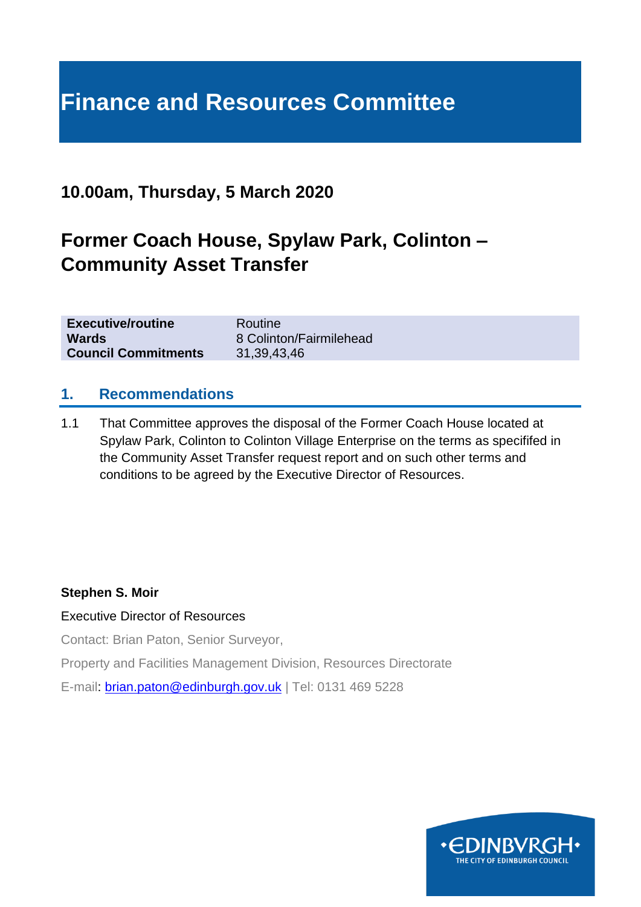# **Finance and Resources Committee**

# **10.00am, Thursday, 5 March 2020**

# **Former Coach House, Spylaw Park, Colinton – Community Asset Transfer**

| <b>Executive/routine</b>   | Routine                 |
|----------------------------|-------------------------|
| <b>Wards</b>               | 8 Colinton/Fairmilehead |
| <b>Council Commitments</b> | 31, 39, 43, 46          |

#### **1. Recommendations**

1.1 That Committee approves the disposal of the Former Coach House located at Spylaw Park, Colinton to Colinton Village Enterprise on the terms as specififed in the Community Asset Transfer request report and on such other terms and conditions to be agreed by the Executive Director of Resources.

#### **Stephen S. Moir**

#### Executive Director of Resources

Contact: Brian Paton, Senior Surveyor,

Property and Facilities Management Division, Resources Directorate

E-mail: [brian.paton@edinburgh.gov.uk](mailto:brian.paton@edinburgh.gov.uk) | Tel: 0131 469 5228

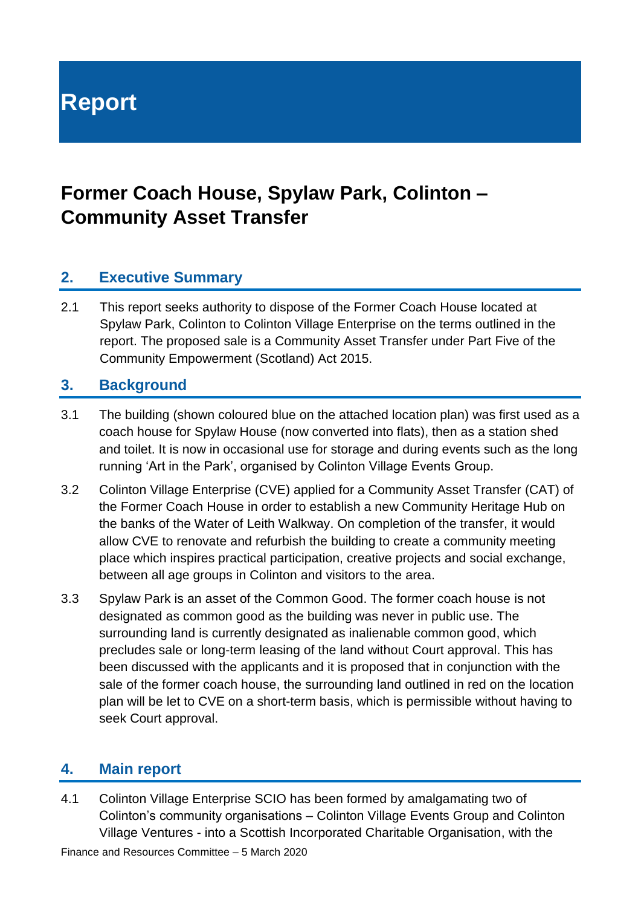**Report**

# **Former Coach House, Spylaw Park, Colinton – Community Asset Transfer**

### **2. Executive Summary**

2.1 This report seeks authority to dispose of the Former Coach House located at Spylaw Park, Colinton to Colinton Village Enterprise on the terms outlined in the report. The proposed sale is a Community Asset Transfer under Part Five of the Community Empowerment (Scotland) Act 2015.

#### **3. Background**

- 3.1 The building (shown coloured blue on the attached location plan) was first used as a coach house for Spylaw House (now converted into flats), then as a station shed and toilet. It is now in occasional use for storage and during events such as the long running 'Art in the Park', organised by Colinton Village Events Group.
- 3.2 Colinton Village Enterprise (CVE) applied for a Community Asset Transfer (CAT) of the Former Coach House in order to establish a new Community Heritage Hub on the banks of the Water of Leith Walkway. On completion of the transfer, it would allow CVE to renovate and refurbish the building to create a community meeting place which inspires practical participation, creative projects and social exchange, between all age groups in Colinton and visitors to the area.
- 3.3 Spylaw Park is an asset of the Common Good. The former coach house is not designated as common good as the building was never in public use. The surrounding land is currently designated as inalienable common good, which precludes sale or long-term leasing of the land without Court approval. This has been discussed with the applicants and it is proposed that in conjunction with the sale of the former coach house, the surrounding land outlined in red on the location plan will be let to CVE on a short-term basis, which is permissible without having to seek Court approval.

#### **4. Main report**

4.1 Colinton Village Enterprise SCIO has been formed by amalgamating two of Colinton's community organisations – Colinton Village Events Group and Colinton Village Ventures - into a Scottish Incorporated Charitable Organisation, with the

Finance and Resources Committee – 5 March 2020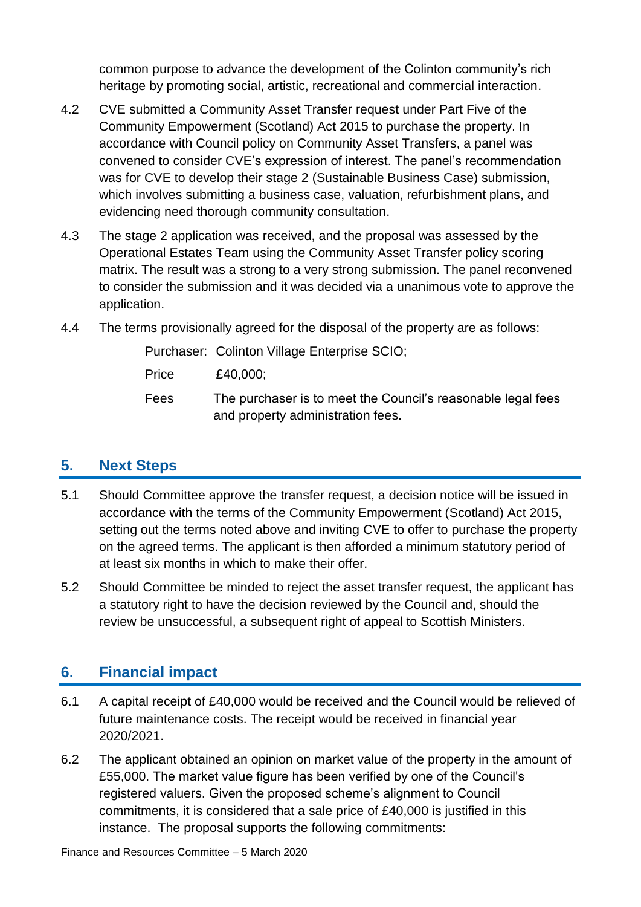common purpose to advance the development of the Colinton community's rich heritage by promoting social, artistic, recreational and commercial interaction.

- 4.2 CVE submitted a Community Asset Transfer request under Part Five of the Community Empowerment (Scotland) Act 2015 to purchase the property. In accordance with Council policy on Community Asset Transfers, a panel was convened to consider CVE's expression of interest. The panel's recommendation was for CVE to develop their stage 2 (Sustainable Business Case) submission, which involves submitting a business case, valuation, refurbishment plans, and evidencing need thorough community consultation.
- 4.3 The stage 2 application was received, and the proposal was assessed by the Operational Estates Team using the Community Asset Transfer policy scoring matrix. The result was a strong to a very strong submission. The panel reconvened to consider the submission and it was decided via a unanimous vote to approve the application.
- 4.4 The terms provisionally agreed for the disposal of the property are as follows:

Purchaser: Colinton Village Enterprise SCIO;

Price £40,000;

Fees The purchaser is to meet the Council's reasonable legal fees and property administration fees.

# **5. Next Steps**

- 5.1 Should Committee approve the transfer request, a decision notice will be issued in accordance with the terms of the Community Empowerment (Scotland) Act 2015, setting out the terms noted above and inviting CVE to offer to purchase the property on the agreed terms. The applicant is then afforded a minimum statutory period of at least six months in which to make their offer.
- 5.2 Should Committee be minded to reject the asset transfer request, the applicant has a statutory right to have the decision reviewed by the Council and, should the review be unsuccessful, a subsequent right of appeal to Scottish Ministers.

# **6. Financial impact**

- 6.1 A capital receipt of £40,000 would be received and the Council would be relieved of future maintenance costs. The receipt would be received in financial year 2020/2021.
- 6.2 The applicant obtained an opinion on market value of the property in the amount of £55,000. The market value figure has been verified by one of the Council's registered valuers. Given the proposed scheme's alignment to Council commitments, it is considered that a sale price of £40,000 is justified in this instance. The proposal supports the following commitments: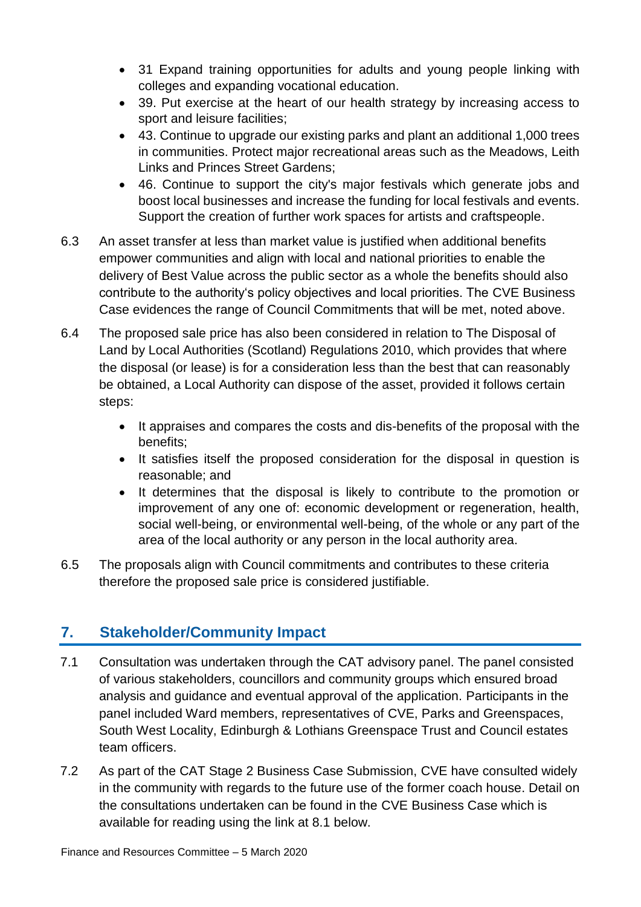- 31 Expand training opportunities for adults and young people linking with colleges and expanding vocational education.
- 39. Put exercise at the heart of our health strategy by increasing access to sport and leisure facilities;
- 43. Continue to upgrade our existing parks and plant an additional 1,000 trees in communities. Protect major recreational areas such as the Meadows, Leith Links and Princes Street Gardens;
- 46. Continue to support the city's major festivals which generate jobs and boost local businesses and increase the funding for local festivals and events. Support the creation of further work spaces for artists and craftspeople.
- 6.3 An asset transfer at less than market value is justified when additional benefits empower communities and align with local and national priorities to enable the delivery of Best Value across the public sector as a whole the benefits should also contribute to the authority's policy objectives and local priorities. The CVE Business Case evidences the range of Council Commitments that will be met, noted above.
- 6.4 The proposed sale price has also been considered in relation to The Disposal of Land by Local Authorities (Scotland) Regulations 2010, which provides that where the disposal (or lease) is for a consideration less than the best that can reasonably be obtained, a Local Authority can dispose of the asset, provided it follows certain steps:
	- It appraises and compares the costs and dis-benefits of the proposal with the benefits;
	- It satisfies itself the proposed consideration for the disposal in question is reasonable; and
	- It determines that the disposal is likely to contribute to the promotion or improvement of any one of: economic development or regeneration, health, social well-being, or environmental well-being, of the whole or any part of the area of the local authority or any person in the local authority area.
- 6.5 The proposals align with Council commitments and contributes to these criteria therefore the proposed sale price is considered justifiable.

# **7. Stakeholder/Community Impact**

- 7.1 Consultation was undertaken through the CAT advisory panel. The panel consisted of various stakeholders, councillors and community groups which ensured broad analysis and guidance and eventual approval of the application. Participants in the panel included Ward members, representatives of CVE, Parks and Greenspaces, South West Locality, Edinburgh & Lothians Greenspace Trust and Council estates team officers.
- 7.2 As part of the CAT Stage 2 Business Case Submission, CVE have consulted widely in the community with regards to the future use of the former coach house. Detail on the consultations undertaken can be found in the CVE Business Case which is available for reading using the link at 8.1 below.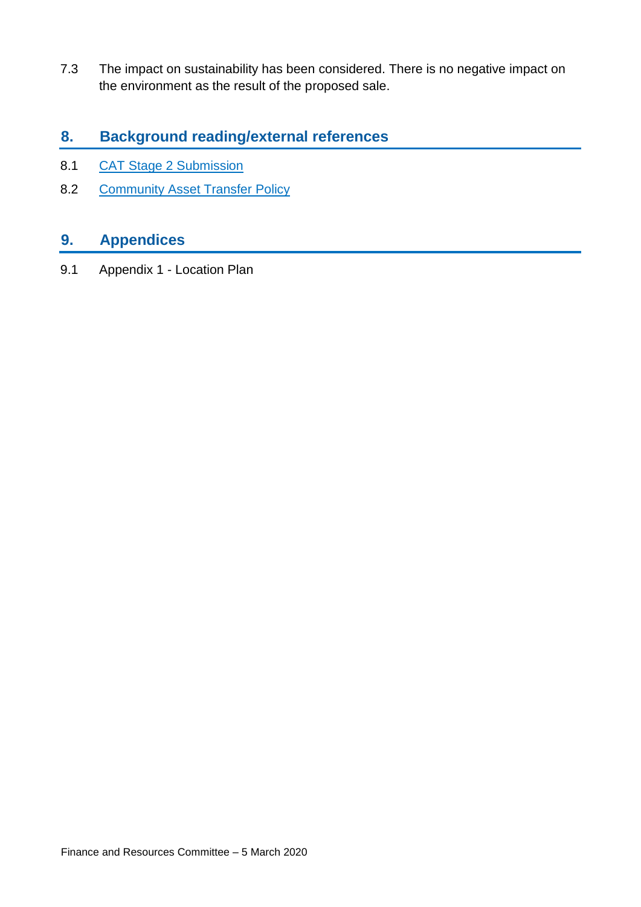7.3 The impact on sustainability has been considered. There is no negative impact on the environment as the result of the proposed sale.

### **8. Background reading/external references**

- 8.1 CAT Stage 2 Submission
- 8.2 [Community Asset Transfer Policy](https://www.edinburgh.gov.uk/downloads/download/14374/community-asset-policy)

## **9. Appendices**

9.1 Appendix 1 - Location Plan